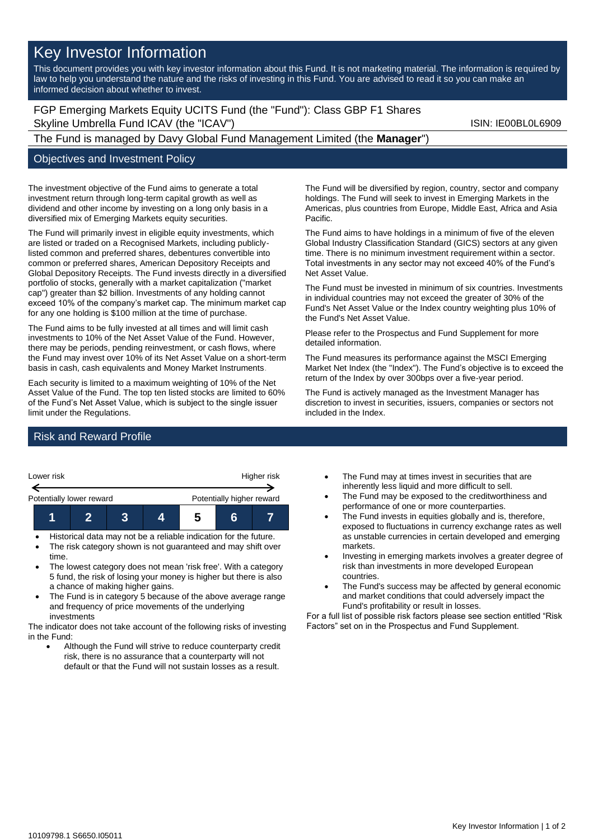# Key Investor Information

This document provides you with key investor information about this Fund. It is not marketing material. The information is required by law to help you understand the nature and the risks of investing in this Fund. You are advised to read it so you can make an informed decision about whether to invest.

FGP Emerging Markets Equity UCITS Fund (the "Fund"): Class GBP F1 Shares Skyline Umbrella Fund ICAV (the "ICAV") Skyline Umbrella Fund ICAV (the "ICAV")

## The Fund is managed by Davy Global Fund Management Limited (the **Manager**")

#### Objectives and Investment Policy

The investment objective of the Fund aims to generate a total investment return through long-term capital growth as well as dividend and other income by investing on a long only basis in a diversified mix of Emerging Markets equity securities.

The Fund will primarily invest in eligible equity investments, which are listed or traded on a Recognised Markets, including publiclylisted common and preferred shares, debentures convertible into common or preferred shares, American Depository Receipts and Global Depository Receipts. The Fund invests directly in a diversified portfolio of stocks, generally with a market capitalization ("market cap") greater than \$2 billion. Investments of any holding cannot exceed 10% of the company's market cap. The minimum market cap for any one holding is \$100 million at the time of purchase.

The Fund aims to be fully invested at all times and will limit cash investments to 10% of the Net Asset Value of the Fund. However, there may be periods, pending reinvestment, or cash flows, where the Fund may invest over 10% of its Net Asset Value on a short-term basis in cash, cash equivalents and Money Market Instruments.

Each security is limited to a maximum weighting of 10% of the Net Asset Value of the Fund. The top ten listed stocks are limited to 60% of the Fund's Net Asset Value, which is subject to the single issuer limit under the Regulations.

The Fund will be diversified by region, country, sector and company holdings. The Fund will seek to invest in Emerging Markets in the Americas, plus countries from Europe, Middle East, Africa and Asia Pacific.

The Fund aims to have holdings in a minimum of five of the eleven Global Industry Classification Standard (GICS) sectors at any given time. There is no minimum investment requirement within a sector. Total investments in any sector may not exceed 40% of the Fund's Net Asset Value.

The Fund must be invested in minimum of six countries. Investments in individual countries may not exceed the greater of 30% of the Fund's Net Asset Value or the Index country weighting plus 10% of the Fund's Net Asset Value.

Please refer to the Prospectus and Fund Supplement for more detailed information.

The Fund measures its performance against the MSCI Emerging Market Net Index (the "Index"). The Fund's objective is to exceed the return of the Index by over 300bps over a five-year period.

The Fund is actively managed as the Investment Manager has discretion to invest in securities, issuers, companies or sectors not included in the Index.

## Risk and Reward Profile



- The risk category shown is not guaranteed and may shift over time.
- The lowest category does not mean 'risk free'. With a category 5 fund, the risk of losing your money is higher but there is also a chance of making higher gains.
- The Fund is in category 5 because of the above average range and frequency of price movements of the underlying investments

The indicator does not take account of the following risks of investing in the Fund:

• Although the Fund will strive to reduce counterparty credit risk, there is no assurance that a counterparty will not default or that the Fund will not sustain losses as a result.

- The Fund may at times invest in securities that are inherently less liquid and more difficult to sell.
- The Fund may be exposed to the creditworthiness and performance of one or more counterparties.
- The Fund invests in equities globally and is, therefore, exposed to fluctuations in currency exchange rates as well as unstable currencies in certain developed and emerging markets.
- Investing in emerging markets involves a greater degree of risk than investments in more developed European countries.
- The Fund's success may be affected by general economic and market conditions that could adversely impact the Fund's profitability or result in losses.

For a full list of possible risk factors please see section entitled "Risk Factors" set on in the Prospectus and Fund Supplement.